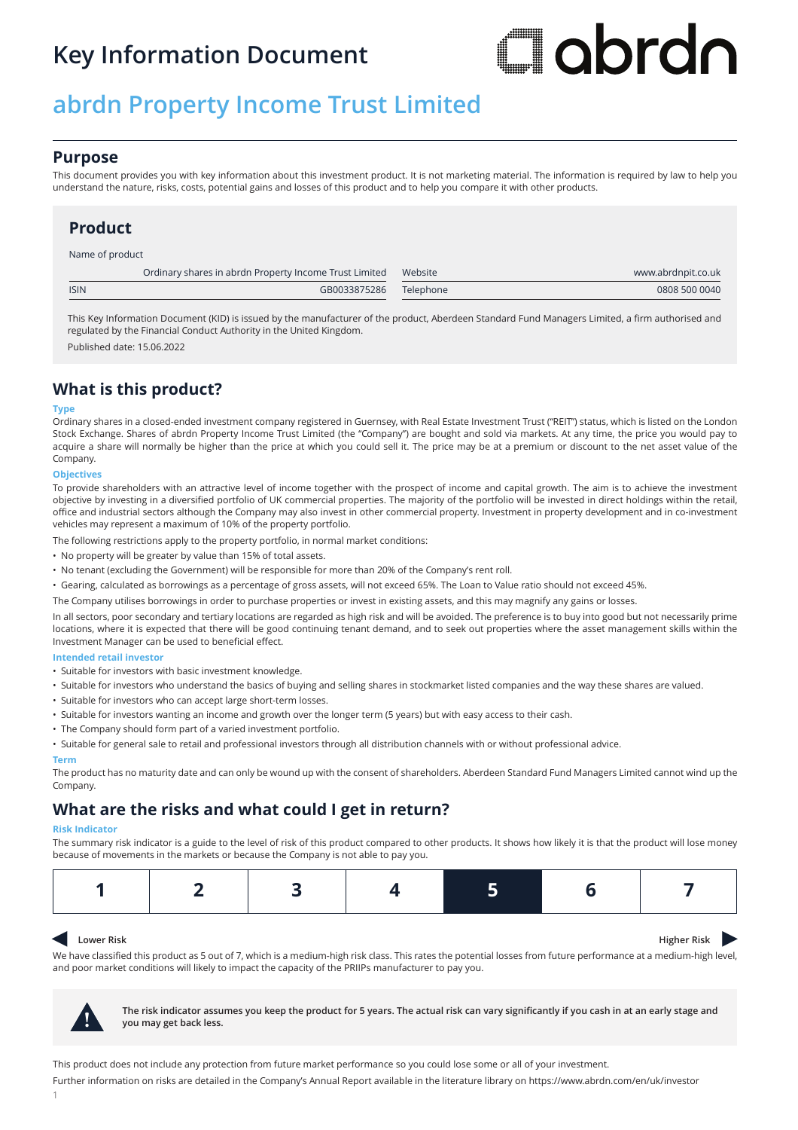# **Key Information Document**

# **Jabrdn**

# **abrdn Property Income Trust Limited**

## **Purpose**

This document provides you with key information about this investment product. It is not marketing material. The information is required by law to help you understand the nature, risks, costs, potential gains and losses of this product and to help you compare it with other products.

## **Product**

Name of product

|             | Ordinary shares in abrdn Property Income Trust Limited | Website   | www.abrdnpit.co.uk |
|-------------|--------------------------------------------------------|-----------|--------------------|
| <b>ISIN</b> | GB0033875286                                           | Telephone | 0808 500 0040      |

This Key Information Document (KID) is issued by the manufacturer of the product, Aberdeen Standard Fund Managers Limited, a firm authorised and regulated by the Financial Conduct Authority in the United Kingdom.

Published date: 15.06.2022

## **What is this product?**

#### **Type**

Ordinary shares in a closed-ended investment company registered in Guernsey, with Real Estate Investment Trust ("REIT") status, which is listed on the London Stock Exchange. Shares of abrdn Property Income Trust Limited (the "Company") are bought and sold via markets. At any time, the price you would pay to acquire a share will normally be higher than the price at which you could sell it. The price may be at a premium or discount to the net asset value of the Company.

#### **Objectives**

To provide shareholders with an attractive level of income together with the prospect of income and capital growth. The aim is to achieve the investment objective by investing in a diversified portfolio of UK commercial properties. The majority of the portfolio will be invested in direct holdings within the retail, office and industrial sectors although the Company may also invest in other commercial property. Investment in property development and in co-investment vehicles may represent a maximum of 10% of the property portfolio.

The following restrictions apply to the property portfolio, in normal market conditions:

- No property will be greater by value than 15% of total assets.
- No tenant (excluding the Government) will be responsible for more than 20% of the Company's rent roll.
- Gearing, calculated as borrowings as a percentage of gross assets, will not exceed 65%. The Loan to Value ratio should not exceed 45%.
- The Company utilises borrowings in order to purchase properties or invest in existing assets, and this may magnify any gains or losses.

In all sectors, poor secondary and tertiary locations are regarded as high risk and will be avoided. The preference is to buy into good but not necessarily prime locations, where it is expected that there will be good continuing tenant demand, and to seek out properties where the asset management skills within the Investment Manager can be used to beneficial effect.

#### **Intended retail investor**

- Suitable for investors with basic investment knowledge.
- Suitable for investors who understand the basics of buying and selling shares in stockmarket listed companies and the way these shares are valued.
- Suitable for investors who can accept large short-term losses.
- Suitable for investors wanting an income and growth over the longer term (5 years) but with easy access to their cash.
- The Company should form part of a varied investment portfolio.
- Suitable for general sale to retail and professional investors through all distribution channels with or without professional advice.

#### **Term**

The product has no maturity date and can only be wound up with the consent of shareholders. Aberdeen Standard Fund Managers Limited cannot wind up the Company.

## **What are the risks and what could I get in return?**

#### **Risk Indicator**

The summary risk indicator is a guide to the level of risk of this product compared to other products. It shows how likely it is that the product will lose money because of movements in the markets or because the Company is not able to pay you.

### $\blacktriangleleft$

**Lower Risk Higher Risk Higher Risk** 

We have classified this product as 5 out of 7, which is a medium-high risk class. This rates the potential losses from future performance at a medium-high level, and poor market conditions will likely to impact the capacity of the PRIIPs manufacturer to pay you.



**! The risk indicator assumes you keep the product for 5 years. The actual risk can vary significantly if you cash in at an early stage and you may get back less.**

This product does not include any protection from future market performance so you could lose some or all of your investment.

Further information on risks are detailed in the Company's Annual Report available in the literature library on https://www.abrdn.com/en/uk/investor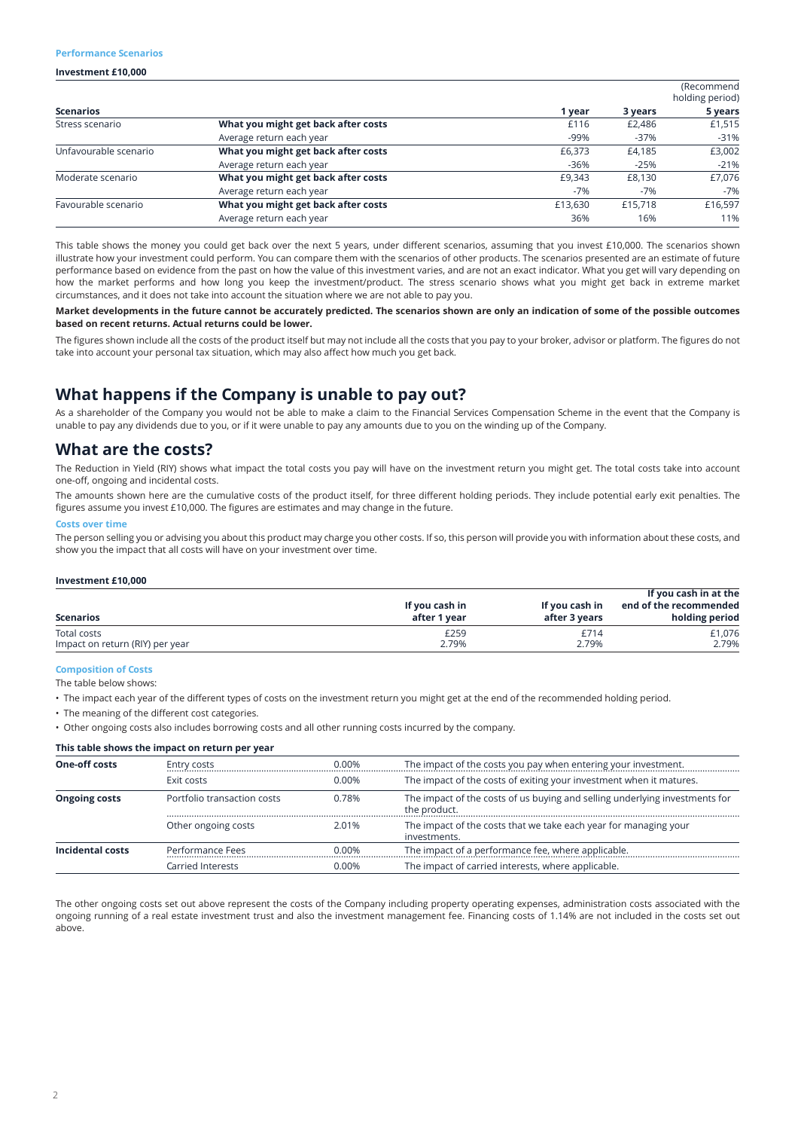#### **Performance Scenarios**

#### **Investment £10,000**

|                       |                                     |         |         | (Recommend<br>holding period) |  |
|-----------------------|-------------------------------------|---------|---------|-------------------------------|--|
| <b>Scenarios</b>      |                                     | 1 year  | 3 years | 5 years                       |  |
| Stress scenario       | What you might get back after costs | £116    | £2.486  | £1,515                        |  |
|                       | Average return each year            | -99%    | $-37%$  | $-31%$                        |  |
| Unfavourable scenario | What you might get back after costs | £6,373  | £4.185  | £3,002                        |  |
|                       | Average return each year            | $-36%$  | $-25%$  | $-21%$                        |  |
| Moderate scenario     | What you might get back after costs | £9.343  | £8.130  | £7,076                        |  |
|                       | Average return each year            | $-7%$   | $-7%$   | $-7%$                         |  |
| Favourable scenario   | What you might get back after costs | £13,630 | £15,718 | £16,597                       |  |
|                       | Average return each year            | 36%     | 16%     | 11%                           |  |

This table shows the money you could get back over the next 5 years, under different scenarios, assuming that you invest £10,000. The scenarios shown illustrate how your investment could perform. You can compare them with the scenarios of other products. The scenarios presented are an estimate of future performance based on evidence from the past on how the value of this investment varies, and are not an exact indicator. What you get will vary depending on how the market performs and how long you keep the investment/product. The stress scenario shows what you might get back in extreme market circumstances, and it does not take into account the situation where we are not able to pay you.

#### **Market developments in the future cannot be accurately predicted. The scenarios shown are only an indication of some of the possible outcomes based on recent returns. Actual returns could be lower.**

The figures shown include all the costs of the product itself but may not include all the costs that you pay to your broker, advisor or platform. The figures do not take into account your personal tax situation, which may also affect how much you get back.

## **What happens if the Company is unable to pay out?**

As a shareholder of the Company you would not be able to make a claim to the Financial Services Compensation Scheme in the event that the Company is unable to pay any dividends due to you, or if it were unable to pay any amounts due to you on the winding up of the Company.

## **What are the costs?**

The Reduction in Yield (RIY) shows what impact the total costs you pay will have on the investment return you might get. The total costs take into account one-off, ongoing and incidental costs.

The amounts shown here are the cumulative costs of the product itself, for three different holding periods. They include potential early exit penalties. The figures assume you invest £10,000. The figures are estimates and may change in the future.

#### **Costs over time**

The person selling you or advising you about this product may charge you other costs. If so, this person will provide you with information about these costs, and show you the impact that all costs will have on your investment over time.

#### **Investment £10,000**

| <b>Scenarios</b>                | If you cash in<br>after 1 year | If you cash in<br>after 3 years | If you cash in at the<br>end of the recommended<br>holding period |
|---------------------------------|--------------------------------|---------------------------------|-------------------------------------------------------------------|
| Total costs                     | £259                           | £714                            | £1,076                                                            |
| Impact on return (RIY) per year | 2.79%                          | 2.79%                           | 2.79%                                                             |

#### **Composition of Costs**

The table below shows:

• The impact each year of the different types of costs on the investment return you might get at the end of the recommended holding period.

• The meaning of the different cost categories.

• Other ongoing costs also includes borrowing costs and all other running costs incurred by the company.

#### **This table shows the impact on return per year**

| <b>One-off costs</b> | Entry costs                 | $0.00\%$ | The impact of the costs you pay when entering your investment.                              |  |  |
|----------------------|-----------------------------|----------|---------------------------------------------------------------------------------------------|--|--|
|                      | Exit costs                  | $0.00\%$ | The impact of the costs of exiting your investment when it matures.                         |  |  |
| <b>Ongoing costs</b> | Portfolio transaction costs | 0.78%    | The impact of the costs of us buying and selling underlying investments for<br>the product. |  |  |
|                      | Other ongoing costs         | 2.01%    | The impact of the costs that we take each year for managing your<br>investments.            |  |  |
| Incidental costs     | Performance Fees            | $0.00\%$ | The impact of a performance fee, where applicable.                                          |  |  |
|                      | Carried Interests           | $0.00\%$ | The impact of carried interests, where applicable.                                          |  |  |

The other ongoing costs set out above represent the costs of the Company including property operating expenses, administration costs associated with the ongoing running of a real estate investment trust and also the investment management fee. Financing costs of 1.14% are not included in the costs set out above.